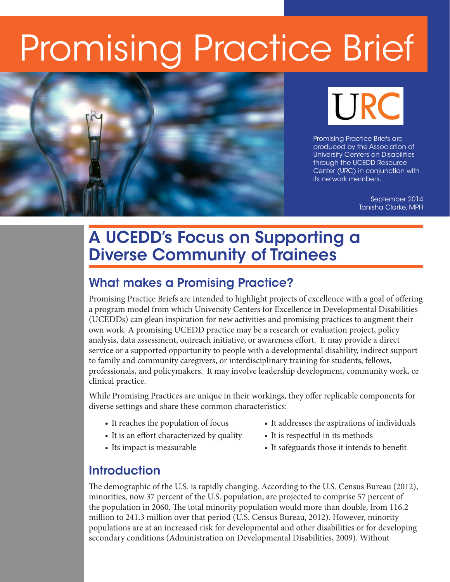# Promising Practice Brief





Promising Practice Briefs are produced by the Association of University Centers on Disabilities through the UCEDD Resource Center (URC) in conjunction with its network members.

> September 2014 Tanisha Clarke, MPH

# A UCEDD's Focus on Supporting a Diverse Community of Trainees

#### What makes a Promising Practice?

Promising Practice Briefs are intended to highlight projects of excellence with a goal of offering a program model from which University Centers for Excellence in Developmental Disabilities (UCEDDs) can glean inspiration for new activities and promising practices to augment their own work. A promising UCEDD practice may be a research or evaluation project, policy analysis, data assessment, outreach initiative, or awareness effort. It may provide a direct service or a supported opportunity to people with a developmental disability, indirect support to family and community caregivers, or interdisciplinary training for students, fellows, professionals, and policymakers. It may involve leadership development, community work, or clinical practice.

While Promising Practices are unique in their workings, they offer replicable components for diverse settings and share these common characteristics:

- 
- It is an effort characterized by quality It is respectful in its methods
- 
- It reaches the population of focus It addresses the aspirations of individuals
	-
- Its impact is measurable It safeguards those it intends to benefit

#### **Introduction**

The demographic of the U.S. is rapidly changing. According to the U.S. Census Bureau (2012), minorities, now 37 percent of the U.S. population, are projected to comprise 57 percent of the population in 2060. The total minority population would more than double, from 116.2 million to 241.3 million over that period (U.S. Census Bureau, 2012). However, minority populations are at an increased risk for developmental and other disabilities or for developing secondary conditions (Administration on Developmental Disabilities, 2009). Without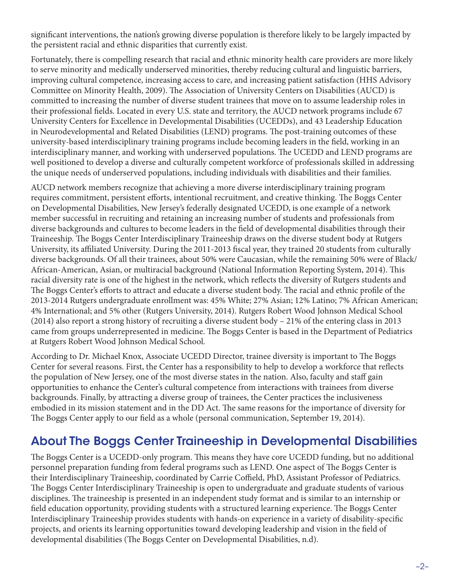significant interventions, the nation's growing diverse population is therefore likely to be largely impacted by the persistent racial and ethnic disparities that currently exist.

Fortunately, there is compelling research that racial and ethnic minority health care providers are more likely to serve minority and medically underserved minorities, thereby reducing cultural and linguistic barriers, improving cultural competence, increasing access to care, and increasing patient satisfaction (HHS Advisory Committee on Minority Health, 2009). The Association of University Centers on Disabilities (AUCD) is committed to increasing the number of diverse student trainees that move on to assume leadership roles in their professional fields. Located in every U.S. state and territory, the AUCD network programs include 67 University Centers for Excellence in Developmental Disabilities (UCEDDs), and 43 Leadership Education in Neurodevelopmental and Related Disabilities (LEND) programs. The post-training outcomes of these university-based interdisciplinary training programs include becoming leaders in the field, working in an interdisciplinary manner, and working with underserved populations. The UCEDD and LEND programs are well positioned to develop a diverse and culturally competent workforce of professionals skilled in addressing the unique needs of underserved populations, including individuals with disabilities and their families.

AUCD network members recognize that achieving a more diverse interdisciplinary training program requires commitment, persistent efforts, intentional recruitment, and creative thinking. The Boggs Center on Developmental Disabilities, New Jersey's federally designated UCEDD, is one example of a network member successful in recruiting and retaining an increasing number of students and professionals from diverse backgrounds and cultures to become leaders in the field of developmental disabilities through their Traineeship. The Boggs Center Interdisciplinary Traineeship draws on the diverse student body at Rutgers University, its affiliated University. During the 2011-2013 fiscal year, they trained 20 students from culturally diverse backgrounds. Of all their trainees, about 50% were Caucasian, while the remaining 50% were of Black/ African-American, Asian, or multiracial background (National Information Reporting System, 2014). This racial diversity rate is one of the highest in the network, which reflects the diversity of Rutgers students and The Boggs Center's efforts to attract and educate a diverse student body. The racial and ethnic profile of the 2013-2014 Rutgers undergraduate enrollment was: 45% White; 27% Asian; 12% Latino; 7% African American; 4% International; and 5% other (Rutgers University, 2014). Rutgers Robert Wood Johnson Medical School (2014) also report a strong history of recruiting a diverse student body – 21% of the entering class in 2013 came from groups underrepresented in medicine. The Boggs Center is based in the Department of Pediatrics at Rutgers Robert Wood Johnson Medical School.

According to Dr. Michael Knox, Associate UCEDD Director, trainee diversity is important to The Boggs Center for several reasons. First, the Center has a responsibility to help to develop a workforce that reflects the population of New Jersey, one of the most diverse states in the nation. Also, faculty and staff gain opportunities to enhance the Center's cultural competence from interactions with trainees from diverse backgrounds. Finally, by attracting a diverse group of trainees, the Center practices the inclusiveness embodied in its mission statement and in the DD Act. The same reasons for the importance of diversity for The Boggs Center apply to our field as a whole (personal communication, September 19, 2014).

#### About The Boggs Center Traineeship in Developmental Disabilities

The Boggs Center is a UCEDD-only program. This means they have core UCEDD funding, but no additional personnel preparation funding from federal programs such as LEND. One aspect of The Boggs Center is their Interdisciplinary Traineeship, coordinated by Carrie Coffield, PhD, Assistant Professor of Pediatrics. The Boggs Center Interdisciplinary Traineeship is open to undergraduate and graduate students of various disciplines. The traineeship is presented in an independent study format and is similar to an internship or field education opportunity, providing students with a structured learning experience. The Boggs Center Interdisciplinary Traineeship provides students with hands-on experience in a variety of disability-specific projects, and orients its learning opportunities toward developing leadership and vision in the field of developmental disabilities (The Boggs Center on Developmental Disabilities, n.d).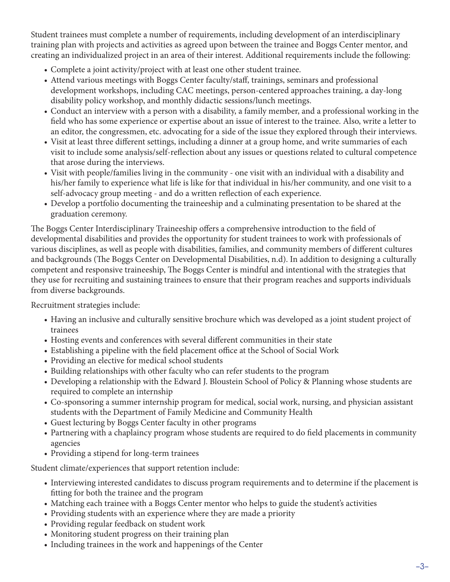Student trainees must complete a number of requirements, including development of an interdisciplinary training plan with projects and activities as agreed upon between the trainee and Boggs Center mentor, and creating an individualized project in an area of their interest. Additional requirements include the following:

- • Complete a joint activity/project with at least one other student trainee.
- Attend various meetings with Boggs Center faculty/staff, trainings, seminars and professional development workshops, including CAC meetings, person-centered approaches training, a day-long disability policy workshop, and monthly didactic sessions/lunch meetings.
- • Conduct an interview with a person with a disability, a family member, and a professional working in the field who has some experience or expertise about an issue of interest to the trainee. Also, write a letter to an editor, the congressmen, etc. advocating for a side of the issue they explored through their interviews.
- • Visit at least three different settings, including a dinner at a group home, and write summaries of each visit to include some analysis/self-reflection about any issues or questions related to cultural competence that arose during the interviews.
- • Visit with people/families living in the community one visit with an individual with a disability and his/her family to experience what life is like for that individual in his/her community, and one visit to a self-advocacy group meeting - and do a written reflection of each experience.
- • Develop a portfolio documenting the traineeship and a culminating presentation to be shared at the graduation ceremony.

The Boggs Center Interdisciplinary Traineeship offers a comprehensive introduction to the field of developmental disabilities and provides the opportunity for student trainees to work with professionals of various disciplines, as well as people with disabilities, families, and community members of different cultures and backgrounds (The Boggs Center on Developmental Disabilities, n.d). In addition to designing a culturally competent and responsive traineeship, The Boggs Center is mindful and intentional with the strategies that they use for recruiting and sustaining trainees to ensure that their program reaches and supports individuals from diverse backgrounds.

Recruitment strategies include:

- Having an inclusive and culturally sensitive brochure which was developed as a joint student project of trainees
- Hosting events and conferences with several different communities in their state
- • Establishing a pipeline with the field placement office at the School of Social Work
- Providing an elective for medical school students
- Building relationships with other faculty who can refer students to the program
- Developing a relationship with the Edward J. Bloustein School of Policy & Planning whose students are required to complete an internship
- • Co-sponsoring a summer internship program for medical, social work, nursing, and physician assistant students with the Department of Family Medicine and Community Health
- • Guest lecturing by Boggs Center faculty in other programs
- Partnering with a chaplaincy program whose students are required to do field placements in community agencies
- Providing a stipend for long-term trainees

Student climate/experiences that support retention include:

- • Interviewing interested candidates to discuss program requirements and to determine if the placement is fitting for both the trainee and the program
- Matching each trainee with a Boggs Center mentor who helps to guide the student's activities
- Providing students with an experience where they are made a priority
- Providing regular feedback on student work
- Monitoring student progress on their training plan
- Including trainees in the work and happenings of the Center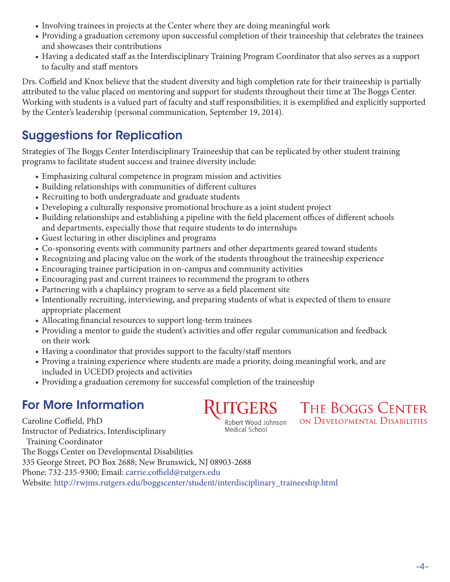- Involving trainees in projects at the Center where they are doing meaningful work
- • Providing a graduation ceremony upon successful completion of their traineeship that celebrates the trainees and showcases their contributions
- • Having a dedicated staff as the Interdisciplinary Training Program Coordinator that also serves as a support to faculty and staff mentors

Drs. Coffield and Knox believe that the student diversity and high completion rate for their traineeship is partially attributed to the value placed on mentoring and support for students throughout their time at The Boggs Center. Working with students is a valued part of faculty and staff responsibilities; it is exemplified and explicitly supported by the Center's leadership (personal communication, September 19, 2014).

## Suggestions for Replication

Strategies of The Boggs Center Interdisciplinary Traineeship that can be replicated by other student training programs to facilitate student success and trainee diversity include:

- Emphasizing cultural competence in program mission and activities
- Building relationships with communities of different cultures
- Recruiting to both undergraduate and graduate students
- Developing a culturally responsive promotional brochure as a joint student project
- Building relationships and establishing a pipeline with the field placement offices of different schools and departments, especially those that require students to do internships
- • Guest lecturing in other disciplines and programs
- • Co-sponsoring events with community partners and other departments geared toward students
- Recognizing and placing value on the work of the students throughout the traineeship experience
- Encouraging trainee participation in on-campus and community activities
- Encouraging past and current trainees to recommend the program to others
- Partnering with a chaplaincy program to serve as a field placement site
- Intentionally recruiting, interviewing, and preparing students of what is expected of them to ensure appropriate placement
- Allocating financial resources to support long-term trainees
- Providing a mentor to guide the student's activities and offer regular communication and feedback on their work
- Having a coordinator that provides support to the faculty/staff mentors
- Proving a training experience where students are made a priority, doing meaningful work, and are included in UCEDD projects and activities
- Providing a graduation ceremony for successful completion of the traineeship

## For More Information

**RUTGERS** 

THE BOGGS CENTER ON DEVELOPMENTAL DISABILITIES

Caroline Coffield, PhD Robert Wood Johnson Medical School Instructor of Pediatrics, Interdisciplinary Training Coordinator The Boggs Center on Developmental Disabilities 335 George Street, PO Box 2688; New Brunswick, NJ 08903-2688 Phone: 732-235-9300; Email: carrie.coffield@rutgers.edu

Website: http://rwjms.rutgers.edu/boggscenter/student/interdisciplinary\_traineeship.html